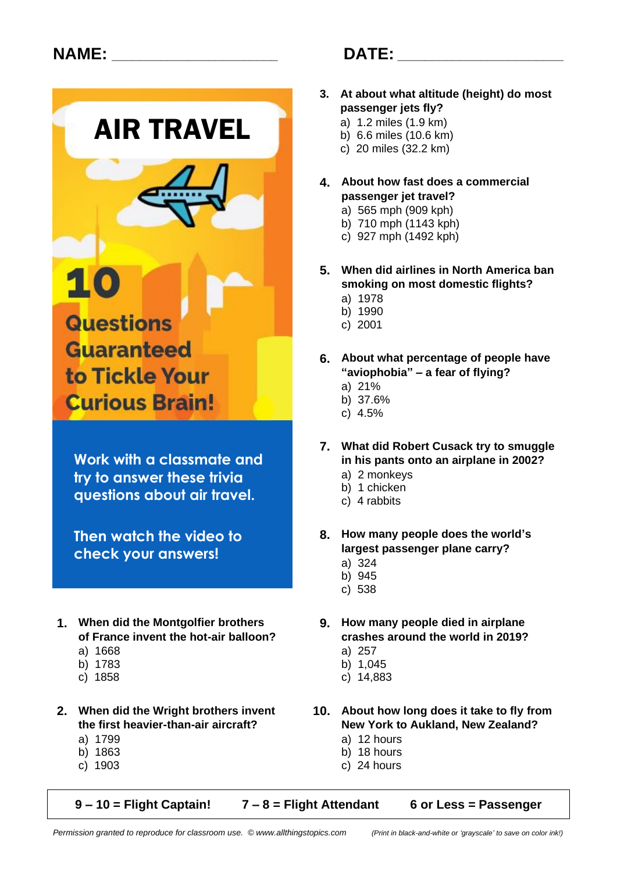

to Tickle Your **Curious Brain!** 

**Work with a classmate and try to answer these trivia questions about air travel.**

**Then watch the video to check your answers!**

- **1. When did the Montgolfier brothers 9. How many people died in airplane of France invent the hot-air balloon?** 
	-
	-
	-
- a) 1799 a) 12 hours
	-
	-
- 
- **3. At about what altitude (height) do most passenger jets fly?**
	- a) 1.2 miles (1.9 km)
	- b) 6.6 miles (10.6 km)
	- c) 20 miles (32.2 km)
- **4. About how fast does a commercial passenger jet travel?**
	- a) 565 mph (909 kph)
	- b) 710 mph (1143 kph)
	- c) 927 mph (1492 kph)
- **5. When did airlines in North America ban smoking on most domestic flights?**
	- a) 1978
	- b) 1990
	- c) 2001
- **6. About what percentage of people have "aviophobia" – a fear of flying?**
	- a) 21%
	- b) 37.6%
	- c) 4.5%
- **7. What did Robert Cusack try to smuggle in his pants onto an airplane in 2002?**
	- a) 2 monkeys
	- b) 1 chicken
	- c) 4 rabbits
- **8. How many people does the world's largest passenger plane carry?**
	- a) 324
	- b) 945
	- c) 538
- a) 1668 a) 257
- b) 1783 b) 1,045
- c) 1858 c) 14,883
- **2. When did the Wright brothers invent 10. About how long does it take to fly from the first heavier-than-air aircraft? New York to Aukland, New Zealand?**
	-
	- b) 1863 b) 18 hours
	- c) 1903 c) 24 hours

**9 – 10 = Flight Captain! 7 – 8 = Flight Attendant 6 or Less = Passenger**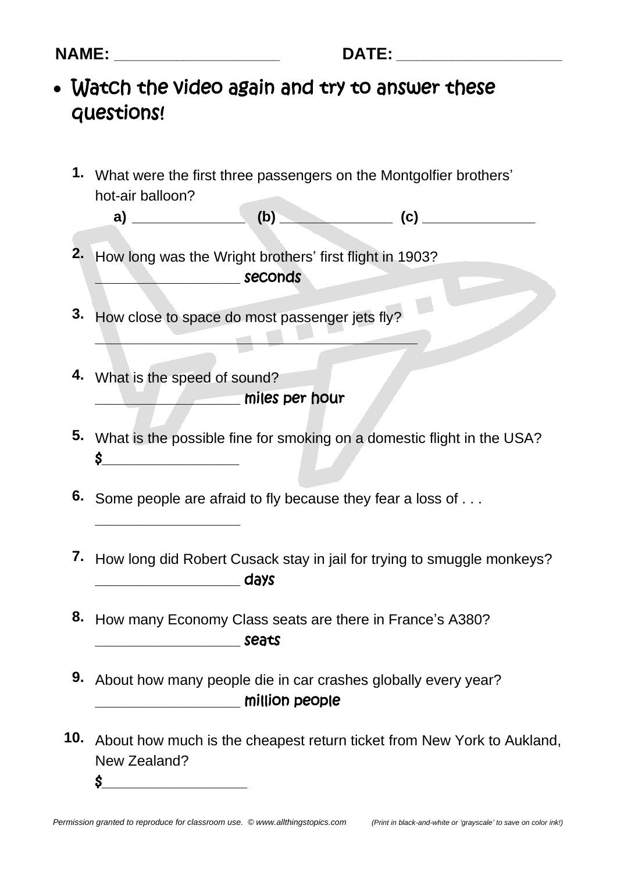- Watch the video again and try to answer these questions!
	- **1.** What were the first three passengers on the Montgolfier brothers' hot-air balloon?
		- **a) \_\_\_\_\_\_\_\_\_\_\_\_\_\_ (b) \_\_\_\_\_\_\_\_\_\_\_\_\_\_ (c) \_\_\_\_\_\_\_\_\_\_\_\_\_\_**
	- **2.** How long was the Wright brothers' first flight in 1903? **conditional seconds**
	- **3.** How close to space do most passenger jets fly?
	- **4.** What is the speed of sound? **\_\_\_\_\_\_\_\_\_\_\_\_\_\_\_\_\_\_** miles per hour

**\_\_\_\_\_\_\_\_\_\_\_\_\_\_\_\_\_\_\_\_\_\_\_\_\_\_\_\_\_\_\_\_\_\_\_\_\_\_\_\_**

**\_\_\_\_\_\_\_\_\_\_\_\_\_\_\_\_\_\_**

- **5.** What is the possible fine for smoking on a domestic flight in the USA?  $\sim$
- **6.** Some people are afraid to fly because they fear a loss of . . .
- **7.** How long did Robert Cusack stay in jail for trying to smuggle monkeys? **\_\_\_\_\_\_\_\_\_\_\_\_\_\_\_\_\_\_** days
- **8.** How many Economy Class seats are there in France's A380? **\_\_\_\_\_\_\_\_\_\_\_\_\_\_\_\_\_\_** seats
- **9.** About how many people die in car crashes globally every year? **The million people**
- **10.** About how much is the cheapest return ticket from New York to Aukland, New Zealand? **\$\_\_\_\_\_\_\_\_\_\_\_\_\_\_\_\_\_\_\_\_\_\_\_**